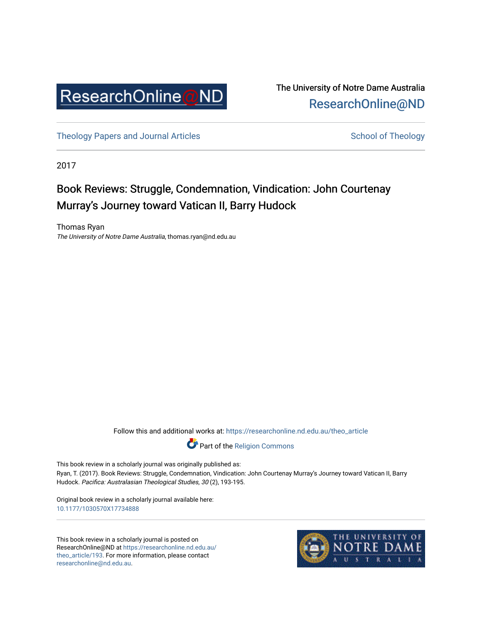

The University of Notre Dame Australia [ResearchOnline@ND](https://researchonline.nd.edu.au/) 

[Theology Papers and Journal Articles](https://researchonline.nd.edu.au/theo_article) and [School of Theology](https://researchonline.nd.edu.au/theo) School of Theology

2017

## Book Reviews: Struggle, Condemnation, Vindication: John Courtenay Murray's Journey toward Vatican II, Barry Hudock

Thomas Ryan The University of Notre Dame Australia, thomas.ryan@nd.edu.au

Follow this and additional works at: [https://researchonline.nd.edu.au/theo\\_article](https://researchonline.nd.edu.au/theo_article?utm_source=researchonline.nd.edu.au%2Ftheo_article%2F193&utm_medium=PDF&utm_campaign=PDFCoverPages) 



This book review in a scholarly journal was originally published as: Ryan, T. (2017). Book Reviews: Struggle, Condemnation, Vindication: John Courtenay Murray's Journey toward Vatican II, Barry Hudock. Pacifica: Australasian Theological Studies, 30 (2), 193-195.

Original book review in a scholarly journal available here: [10.1177/1030570X17734888](https://doi.org/10.1177/1030570X17734888) 

This book review in a scholarly journal is posted on ResearchOnline@ND at [https://researchonline.nd.edu.au/](https://researchonline.nd.edu.au/theo_article/193) [theo\\_article/193](https://researchonline.nd.edu.au/theo_article/193). For more information, please contact [researchonline@nd.edu.au.](mailto:researchonline@nd.edu.au)

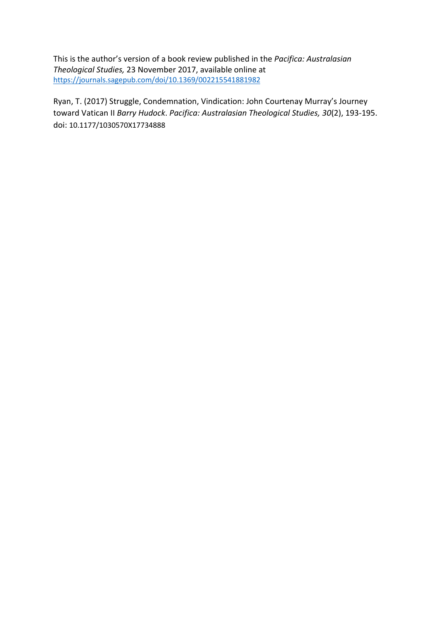This is the author's version of a book review published in the *Pacifica: Australasian Theological Studies,* 23 November 2017, available online at <https://journals.sagepub.com/doi/10.1369/002215541881982>

Ryan, T. (2017) Struggle, Condemnation, Vindication: John Courtenay Murray's Journey toward Vatican II *Barry Hudock*. *Pacifica: Australasian Theological Studies, 30*(2), 193-195. doi: 10.1177/1030570X17734888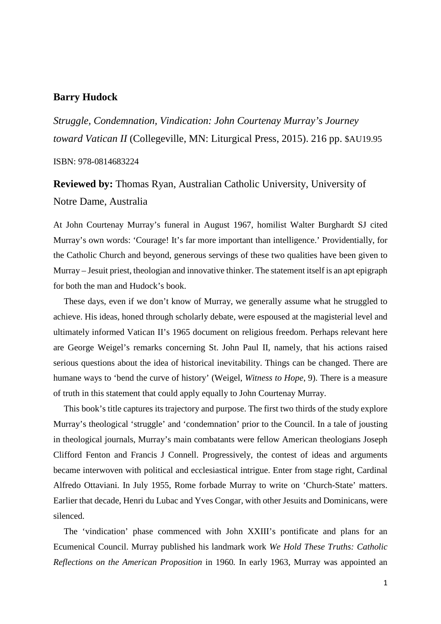## **Barry Hudock**

*Struggle, Condemnation, Vindication: John Courtenay Murray's Journey toward Vatican II* (Collegeville, MN: Liturgical Press, 2015). 216 pp. \$AU19.95

ISBN: 978-0814683224

**Reviewed by:** Thomas Ryan, Australian Catholic University, University of Notre Dame, Australia

At John Courtenay Murray's funeral in August 1967, homilist Walter Burghardt SJ cited Murray's own words: 'Courage! It's far more important than intelligence.' Providentially, for the Catholic Church and beyond, generous servings of these two qualities have been given to Murray – Jesuit priest, theologian and innovative thinker. The statement itself is an apt epigraph for both the man and Hudock's book.

These days, even if we don't know of Murray, we generally assume what he struggled to achieve. His ideas, honed through scholarly debate, were espoused at the magisterial level and ultimately informed Vatican II's 1965 document on religious freedom. Perhaps relevant here are George Weigel's remarks concerning St. John Paul II, namely, that his actions raised serious questions about the idea of historical inevitability. Things can be changed. There are humane ways to 'bend the curve of history' (Weigel, *Witness to Hope*, 9). There is a measure of truth in this statement that could apply equally to John Courtenay Murray.

This book's title captures its trajectory and purpose. The first two thirds of the study explore Murray's theological 'struggle' and 'condemnation' prior to the Council. In a tale of jousting in theological journals, Murray's main combatants were fellow American theologians Joseph Clifford Fenton and Francis J Connell. Progressively, the contest of ideas and arguments became interwoven with political and ecclesiastical intrigue. Enter from stage right, Cardinal Alfredo Ottaviani. In July 1955, Rome forbade Murray to write on 'Church-State' matters. Earlier that decade, Henri du Lubac and Yves Congar, with other Jesuits and Dominicans, were silenced.

The 'vindication' phase commenced with John XXIII's pontificate and plans for an Ecumenical Council. Murray published his landmark work *We Hold These Truths: Catholic Reflections on the American Proposition* in 1960*.* In early 1963, Murray was appointed an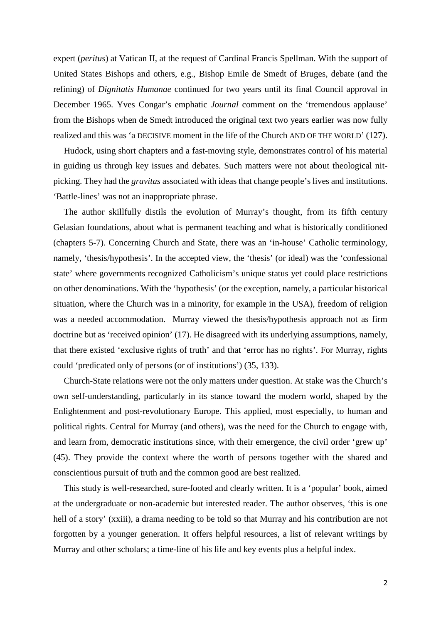expert (*peritus*) at Vatican II, at the request of Cardinal Francis Spellman. With the support of United States Bishops and others, e.g., Bishop Emile de Smedt of Bruges, debate (and the refining) of *Dignitatis Humanae* continued for two years until its final Council approval in December 1965. Yves Congar's emphatic *Journal* comment on the 'tremendous applause' from the Bishops when de Smedt introduced the original text two years earlier was now fully realized and this was 'a DECISIVE moment in the life of the Church AND OF THE WORLD' (127).

Hudock, using short chapters and a fast-moving style, demonstrates control of his material in guiding us through key issues and debates. Such matters were not about theological nitpicking. They had the *gravitas* associated with ideas that change people's lives and institutions. 'Battle-lines' was not an inappropriate phrase.

The author skillfully distils the evolution of Murray's thought, from its fifth century Gelasian foundations, about what is permanent teaching and what is historically conditioned (chapters 5-7). Concerning Church and State, there was an 'in-house' Catholic terminology, namely, 'thesis/hypothesis'. In the accepted view, the 'thesis' (or ideal) was the 'confessional state' where governments recognized Catholicism's unique status yet could place restrictions on other denominations. With the 'hypothesis' (or the exception, namely, a particular historical situation, where the Church was in a minority, for example in the USA), freedom of religion was a needed accommodation. Murray viewed the thesis/hypothesis approach not as firm doctrine but as 'received opinion' (17). He disagreed with its underlying assumptions, namely, that there existed 'exclusive rights of truth' and that 'error has no rights'. For Murray, rights could 'predicated only of persons (or of institutions') (35, 133).

Church-State relations were not the only matters under question. At stake was the Church's own self-understanding, particularly in its stance toward the modern world, shaped by the Enlightenment and post-revolutionary Europe. This applied, most especially, to human and political rights. Central for Murray (and others), was the need for the Church to engage with, and learn from, democratic institutions since, with their emergence, the civil order 'grew up' (45). They provide the context where the worth of persons together with the shared and conscientious pursuit of truth and the common good are best realized.

This study is well-researched, sure-footed and clearly written. It is a 'popular' book, aimed at the undergraduate or non-academic but interested reader. The author observes, 'this is one hell of a story' (xxiii), a drama needing to be told so that Murray and his contribution are not forgotten by a younger generation. It offers helpful resources, a list of relevant writings by Murray and other scholars; a time-line of his life and key events plus a helpful index.